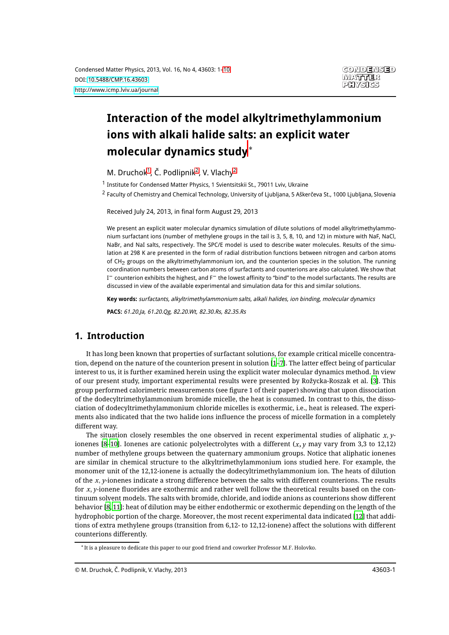# **Interaction of the model alkyltrimethylammonium ions with alkali halide salts: an explicit water molecular dynamics study**¤

<span id="page-0-0"></span>M. Druchok<sup>[1](#page-0-0)</sup>, Č. Podlipnik<sup>[2](#page-0-1)</sup>, V. Vlachy<sup>2</sup>

<span id="page-0-1"></span><sup>1</sup> Institute for Condensed Matter Physics, 1 Svientsitskii St., 79011 Lviv, Ukraine

2 Faculty of Chemistry and Chemical Technology, University of Ljubljana, 5 Aškerčeva St., 1000 Ljubljana, Slovenia

Received July 24, 2013, in final form August 29, 2013

We present an explicit water molecular dynamics simulation of dilute solutions of model alkyltrimethylammonium surfactant ions (number of methylene groups in the tail is 3, 5, 8, 10, and 12) in mixture with NaF, NaCl, NaBr, and NaI salts, respectively. The SPC/E model is used to describe water molecules. Results of the simulation at 298 K are presented in the form of radial distribution functions between nitrogen and carbon atoms of CH<sub>2</sub> groups on the alkyltrimethylammonium ion, and the counterion species in the solution. The running coordination numbers between carbon atoms of surfactants and counterions are also calculated. We show that  $\rm I^-$  counterion exhibits the highest, and F $^-$  the lowest affinity to "bind" to the model surfactants. The results are discussed in view of the available experimental and simulation data for this and similar solutions.

**Key words:** surfactants, alkyltrimethylammonium salts, alkali halides, ion binding, molecular dynamics

**PACS:** 61.20.Ja, 61.20.Qg, 82.20.Wt, 82.30.Rs, 82.35.Rs

## **1. Introduction**

It has long been known that properties of surfactant solutions, for example critical micelle concentration, depend on the nature of the counterion present in solution [\[1](#page-8-0)[–7](#page-8-1)]. The latter effect being of particular interest to us, it is further examined herein using the explicit water molecular dynamics method. In view of our present study, important experimental results were presented by Rožycka-Roszak et al. [\[3\]](#page-8-2). This group performed calorimetric measurements (see figure 1 of their paper) showing that upon dissociation of the dodecyltrimethylammonium bromide micelle, the heat is consumed. In contrast to this, the dissociation of dodecyltrimethylammonium chloride micelles is exothermic, i.e., heat is released. The experiments also indicated that the two halide ions influence the process of micelle formation in a completely different way.

The situation closely resembles the one observed in recent experimental studies of aliphatic  $x$ ,  $y$ -ionenes [\[8](#page-8-3)–[10\]](#page-8-4). Ionenes are cationic polyelectrolytes with a different  $(x, y$  may vary from 3,3 to 12,12) number of methylene groups between the quaternary ammonium groups. Notice that aliphatic ionenes are similar in chemical structure to the alkyltrimethylammonium ions studied here. For example, the monomer unit of the 12,12-ionene is actually the dodecyltrimethylammonium ion. The heats of dilution of the  $x$ , y-ionenes indicate a strong difference between the salts with different counterions. The results for x, y-ionene fluorides are exothermic and rather well follow the theoretical results based on the continuum solvent models. The salts with bromide, chloride, and iodide anions as counterions show different behavior [\[8,](#page-8-3) [11](#page-8-5)]: heat of dilution may be either endothermic or exothermic depending on the length of the hydrophobic portion of the charge. Moreover, the most recent experimental data indicated [\[12\]](#page-8-6) that additions of extra methylene groups (transition from 6,12- to 12,12-ionene) affect the solutions with different counterions differently.

<sup>¤</sup> It is a pleasure to dedicate this paper to our good friend and coworker Professor M.F. Holovko.

<sup>©</sup> M. Druchok, Č. Podlipnik, V. Vlachy, 2013 43603-1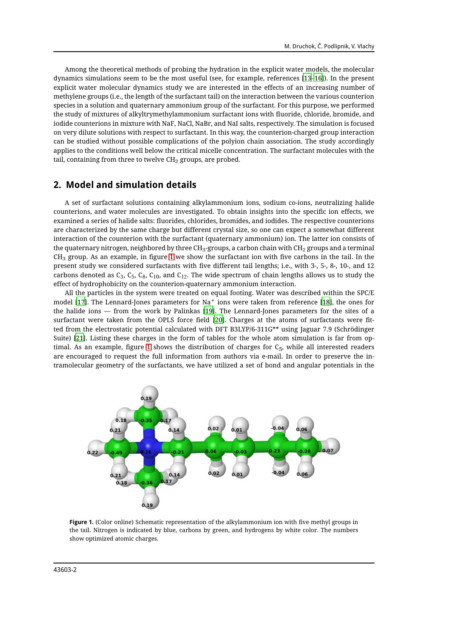Among the theoretical methods of probing the hydration in the explicit water models, the molecular dynamics simulations seem to be the most useful (see, for example, references [\[13](#page-8-7)–[16](#page-8-8)]). In the present explicit water molecular dynamics study we are interested in the effects of an increasing number of methylene groups (i.e., the length of the surfactant tail) on the interaction between the various counterion species in a solution and quaternary ammonium group of the surfactant. For this purpose, we performed the study of mixtures of alkyltrymethylammonium surfactant ions with fluoride, chloride, bromide, and iodide counterions in mixture with NaF, NaCl, NaBr, and NaI salts, respectively. The simulation is focused on very dilute solutions with respect to surfactant. In this way, the counterion-charged group interaction can be studied without possible complications of the polyion chain association. The study accordingly applies to the conditions well below the critical micelle concentration. The surfactant molecules with the tail, containing from three to twelve  $CH<sub>2</sub>$  groups, are probed.

#### **2. Model and simulation details**

A set of surfactant solutions containing alkylammonium ions, sodium co-ions, neutralizing halide counterions, and water molecules are investigated. To obtain insights into the specific ion effects, we examined a series of halide salts: fluorides, chlorides, bromides, and iodides. The respective counterions are characterized by the same charge but different crystal size, so one can expect a somewhat different interaction of the counterion with the surfactant (quaternary ammonium) ion. The latter ion consists of the quaternary nitrogen, neighbored by three CH<sub>3</sub>-groups, a carbon chain with CH<sub>2</sub> groups and a terminal  $CH<sub>3</sub>$  group. As an example, in figure [1](#page-1-0) we show the surfactant ion with five carbons in the tail. In the present study we considered surfactants with five different tail lengths; i.e., with 3-, 5-, 8-, 10-, and 12 carbons denoted as  $C_3$ ,  $C_5$ ,  $C_8$ ,  $C_{10}$ , and  $C_{12}$ . The wide spectrum of chain lengths allows us to study the effect of hydrophobicity on the counterion-quaternary ammonium interaction.

All the particles in the system were treated on equal footing. Water was described within the SPC/E model [\[17](#page-8-9)]. The Lennard-Jones parameters for Na $^{\mathrm{+}}$  ions were taken from reference [\[18](#page-8-10)], the ones for the halide ions — from the work by Palinkas [\[19\]](#page-8-11). The Lennard-Jones parameters for the sites of a surfactant were taken from the OPLS force field [\[20\]](#page-8-12). Charges at the atoms of surfactants were fitted from the electrostatic potential calculated with DFT B3LYP/6-311G\*\* using Jaguar 7.9 (Schrödinger Suite) [\[21](#page-8-13)]. Listing these charges in the form of tables for the whole atom simulation is far from op-timal. As an example, figure [1](#page-1-0) shows the distribution of charges for  $C_5$ , while all interested readers are encouraged to request the full information from authors via e-mail. In order to preserve the intramolecular geometry of the surfactants, we have utilized a set of bond and angular potentials in the



<span id="page-1-0"></span>**Figure 1.** (Color online) Schematic representation of the alkylammonium ion with five methyl groups in the tail. Nitrogen is indicated by blue, carbons by green, and hydrogens by white color. The numbers show optimized atomic charges.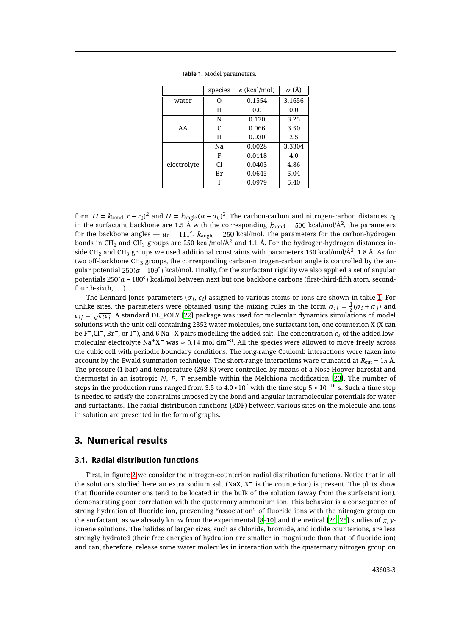|             | species | $\epsilon$ (kcal/mol) | $\sigma$ (Å) |
|-------------|---------|-----------------------|--------------|
| water       | 0       | 0.1554                | 3.1656       |
|             | Η       | 0.0                   | 0.0          |
|             | N       | 0.170                 | 3.25         |
| AA          | C       | 0.066                 | 3.50         |
|             | H       | 0.030                 | 2.5          |
|             | Na      | 0.0028                | 3.3304       |
|             | F       | 0.0118                | 4.0          |
| electrolyte | C1      | 0.0403                | 4.86         |
|             | Br      | 0.0645                | 5.04         |
|             |         | 0.0979                | 5.40         |

<span id="page-2-0"></span>**Table 1.** Model parameters.

form  $U = k_{\rm bond} (r - r_0)^2$  and  $U = k_{\rm angle} (\alpha - \alpha_0)^2$ . The carbon-carbon and nitrogen-carbon distances  $r_0$ in the surfactant backbone are 1.5 Å with the corresponding  $k_{\rm bond}$  = 500 kcal/mol/Å<sup>2</sup>, the parameters for the backbone angles —  $\alpha_0 = 111^\circ$ ,  $k_{\rm angle}$  = 250 kcal/mol. The parameters for the carbon-hydrogen bonds in CH $_2$  and CH $_3$  groups are 250 kcal/mol/Å $^\prime$  and 1.1 Å. For the hydrogen-hydrogen distances inside CH $_2$  and CH $_3$  groups we used additional constraints with parameters 150 kcal/mol/Ų, 1.8 Å. As for two off-backbone  $CH_3$  groups, the corresponding carbon-nitrogen-carbon angle is controlled by the angular potential 250( $\alpha$  – 109 $^{\circ}$ ) kcal/mol. Finally, for the surfactant rigidity we also applied a set of angular potentials 250( $\alpha$  – 180 $^{\circ}$ ) kcal/mol between next but one backbone carbons (first-third-fifth atom, secondfourth-sixth, ...).

The Lennard-Jones parameters ( $\sigma_i$ ,  $\epsilon_i$ ) assigned to various atoms or ions are shown in table [1.](#page-2-0) For unlike sites, the parameters were obtained using the mixing rules in the form  $\sigma_{ij} = \frac{1}{2}(\sigma_i + \sigma_j)$  and  $\epsilon_{ij} = \sqrt{\epsilon_i \epsilon_j}$ . A standard DL\_POLY [\[22](#page-8-14)] package was used for molecular dynamics simulations of model solutions with the unit cell containing 2352 water molecules, one surfactant ion, one counterion X (X can be F¯,Cl¯, Br¯, or I¯), and 6 Na+X pairs modelling the added salt. The concentration  $c_s$  of the added lowmolecular electrolyte Na $^{\rm +}$ X $^{\rm -}$  was  $\approx 0.14$  mol dm $^{\rm -3}.$  All the species were allowed to move freely across the cubic cell with periodic boundary conditions. The long-range Coulomb interactions were taken into account by the Ewald summation technique. The short-range interactions ware truncated at  $R_{\text{cut}} = 15$  Å. The pressure (1 bar) and temperature (298 K) were controlled by means of a Nose-Hoover barostat and thermostat in an isotropic N, P, T ensemble within the Melchiona modification [\[23](#page-8-15)]. The number of steps in the production runs ranged from 3.5 to 4.0×10 $^{\prime}$  with the time step 5 × 10 $^{-16}$  s. Such a time step is needed to satisfy the constraints imposed by the bond and angular intramolecular potentials for water and surfactants. The radial distribution functions (RDF) between various sites on the molecule and ions in solution are presented in the form of graphs.

#### **3. Numerical results**

#### **3.1. Radial distribution functions**

First, in figure [2](#page-3-0) we consider the nitrogen-counterion radial distribution functions. Notice that in all the solutions studied here an extra sodium salt (NaX, X $^-$  is the counterion) is present. The plots show that fluoride counterions tend to be located in the bulk of the solution (away from the surfactant ion), demonstrating poor correlation with the quaternary ammonium ion. This behavior is a consequence of strong hydration of fluoride ion, preventing "association" of fluoride ions with the nitrogen group on the surfactant, as we already know from the experimental [\[8](#page-8-3)–[10\]](#page-8-4) and theoretical [\[24,](#page-8-16) [25\]](#page-8-17) studies of x, yionene solutions. The halides of larger sizes, such as chloride, bromide, and iodide counterions, are less strongly hydrated (their free energies of hydration are smaller in magnitude than that of fluoride ion) and can, therefore, release some water molecules in interaction with the quaternary nitrogen group on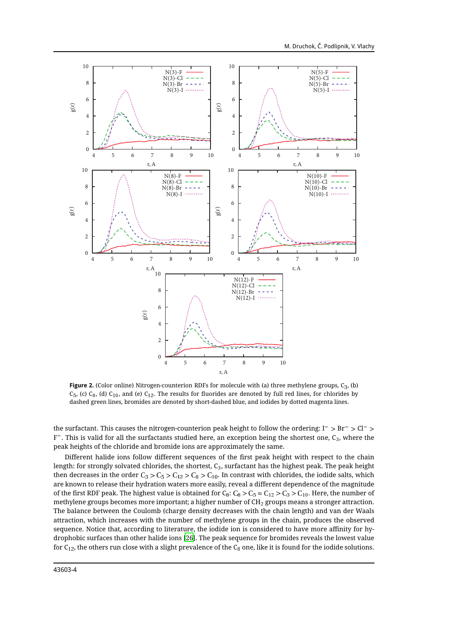

<span id="page-3-0"></span>**Figure 2.** (Color online) Nitrogen-counterion RDFs for molecule with (a) three methylene groups,  $C_3$ , (b)  $C_5$ , (c)  $C_8$ , (d)  $C_{10}$ , and (e)  $C_{12}$ . The results for fluorides are denoted by full red lines, for chlorides by dashed green lines, bromides are denoted by short-dashed blue, and iodides by dotted magenta lines.

the surfactant. This causes the nitrogen-counterion peak height to follow the ordering: I $^- > \rm{Br}^- > \rm{Cl}^- >$ F $\bar{\ }$  . This is valid for all the surfactants studied here, an exception being the shortest one, C $_3$ , where the peak heights of the chloride and bromide ions are approximately the same.

Different halide ions follow different sequences of the first peak height with respect to the chain length: for strongly solvated chlorides, the shortest,  $C_3$ , surfactant has the highest peak. The peak height then decreases in the order  $C_3 > C_5 > C_{12} > C_8 > C_{10}$ . In contrast with chlorides, the iodide salts, which are known to release their hydration waters more easily, reveal a different dependence of the magnitude of the first RDF peak. The highest value is obtained for  $C_8$ :  $C_8 > C_5 \approx C_{12} > C_3 > C_{10}$ . Here, the number of methylene groups becomes more important; a higher number of  $CH<sub>2</sub>$  groups means a stronger attraction. The balance between the Coulomb (charge density decreases with the chain length) and van der Waals attraction, which increases with the number of methylene groups in the chain, produces the observed sequence. Notice that, according to literature, the iodide ion is considered to have more affinity for hydrophobic surfaces than other halide ions [\[26\]](#page-8-18). The peak sequence for bromides reveals the lowest value for  $C_{12}$ , the others run close with a slight prevalence of the  $C_8$  one, like it is found for the iodide solutions.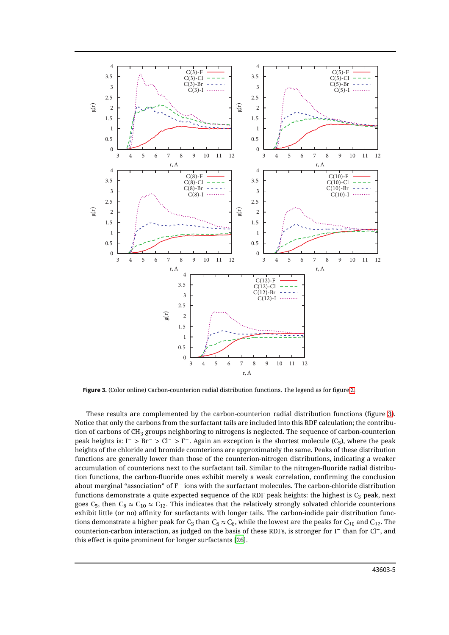

<span id="page-4-0"></span>**Figure 3.** (Color online) Carbon-counterion radial distribution functions. The legend as for figure [2.](#page-3-0)

These results are complemented by the carbon-counterion radial distribution functions (figure [3\)](#page-4-0). Notice that only the carbons from the surfactant tails are included into this RDF calculation; the contribution of carbons of  $CH_3$  groups neighboring to nitrogens is neglected. The sequence of carbon-counterion peak heights is: I¯ > Br¯ > Cl¯ > F¯. Again an exception is the shortest molecule (C3), where the peak heights of the chloride and bromide counterions are approximately the same. Peaks of these distribution functions are generally lower than those of the counterion-nitrogen distributions, indicating a weaker accumulation of counterions next to the surfactant tail. Similar to the nitrogen-fluoride radial distribution functions, the carbon-fluoride ones exhibit merely a weak correlation, confirming the conclusion about marginal "association" of F<sup>-</sup> ions with the surfactant molecules. The carbon-chloride distribution functions demonstrate a quite expected sequence of the RDF peak heights: the highest is  $C_3$  peak, next goes  $C_5$ , then  $C_8 \approx C_{10} \approx C_{12}$ . This indicates that the relatively strongly solvated chloride counterions exhibit little (or no) affinity for surfactants with longer tails. The carbon-iodide pair distribution functions demonstrate a higher peak for C<sub>3</sub> than C<sub>5</sub>  $\approx$  C<sub>8</sub>, while the lowest are the peaks for C<sub>10</sub> and C<sub>12</sub>. The counterion-carbon interaction, as judged on the basis of these RDFs, is stronger for I $^-$  than for Cl $^-$ , and this effect is quite prominent for longer surfactants [\[26\]](#page-8-18).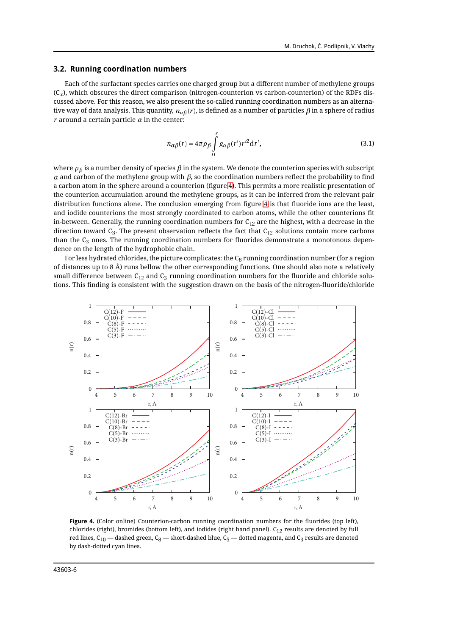#### **3.2. Running coordination numbers**

Each of the surfactant species carries one charged group but a different number of methylene groups  $(C<sub>x</sub>)$ , which obscures the direct comparison (nitrogen-counterion vs carbon-counterion) of the RDFs discussed above. For this reason, we also present the so-called running coordination numbers as an alternative way of data analysis. This quantity,  $n_{\alpha\beta}(r)$ , is defined as a number of particles  $\beta$  in a sphere of radius  $r$  around a certain particle  $\alpha$  in the center:

$$
n_{\alpha\beta}(r) = 4\pi\rho_{\beta} \int_{0}^{r} g_{\alpha\beta}(r')r'^{2}dr',
$$
\n(3.1)

where  $\rho_{\beta}$  is a number density of species  $\beta$  in the system. We denote the counterion species with subscript  $\alpha$  and carbon of the methylene group with  $\beta$ , so the coordination numbers reflect the probability to find a carbon atom in the sphere around a counterion (figure [4\)](#page-5-0). This permits a more realistic presentation of the counterion accumulation around the methylene groups, as it can be inferred from the relevant pair distribution functions alone. The conclusion emerging from figure [4](#page-5-0) is that fluoride ions are the least, and iodide counterions the most strongly coordinated to carbon atoms, while the other counterions fit in-between. Generally, the running coordination numbers for  $C_{12}$  are the highest, with a decrease in the direction toward  $C_3$ . The present observation reflects the fact that  $C_{12}$  solutions contain more carbons than the  $C_3$  ones. The running coordination numbers for fluorides demonstrate a monotonous dependence on the length of the hydrophobic chain.

For less hydrated chlorides, the picture complicates: the  $C_8$  running coordination number (for a region of distances up to 8 Å) runs bellow the other corresponding functions. One should also note a relatively small difference between  $C_{12}$  and  $C_3$  running coordination numbers for the fluoride and chloride solutions. This finding is consistent with the suggestion drawn on the basis of the nitrogen-fluoride/chloride



<span id="page-5-0"></span>**Figure 4.** (Color online) Counterion-carbon running coordination numbers for the fluorides (top left), chlorides (right), bromides (bottom left), and iodides (right hand panel).  $C_{12}$  results are denoted by full red lines,  $C_{10}$  — dashed green,  $C_8$  — short-dashed blue,  $C_5$  — dotted magenta, and  $C_3$  results are denoted by dash-dotted cyan lines.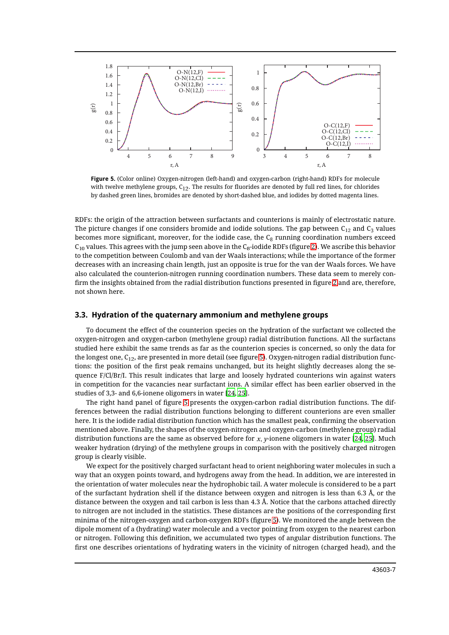

<span id="page-6-0"></span>**Figure 5.** (Color online) Oxygen-nitrogen (left-hand) and oxygen-carbon (right-hand) RDFs for molecule with twelve methylene groups,  $C_{12}$ . The results for fluorides are denoted by full red lines, for chlorides by dashed green lines, bromides are denoted by short-dashed blue, and iodides by dotted magenta lines.

RDFs: the origin of the attraction between surfactants and counterions is mainly of electrostatic nature. The picture changes if one considers bromide and iodide solutions. The gap between  $C_{12}$  and  $C_3$  values becomes more significant, moreover, for the iodide case, the  $C_8$  running coordination numbers exceed  $C_{10}$  values. This agrees with the jump seen above in the  $C_8$ -iodide RDFs (figure [2\)](#page-3-0). We ascribe this behavior to the competition between Coulomb and van der Waals interactions; while the importance of the former decreases with an increasing chain length, just an opposite is true for the van der Waals forces. We have also calculated the counterion-nitrogen running coordination numbers. These data seem to merely confirm the insights obtained from the radial distribution functions presented in figure [2](#page-3-0) and are, therefore, not shown here.

#### **3.3. Hydration of the quaternary ammonium and methylene groups**

To document the effect of the counterion species on the hydration of the surfactant we collected the oxygen-nitrogen and oxygen-carbon (methylene group) radial distribution functions. All the surfactans studied here exhibit the same trends as far as the counterion species is concerned, so only the data for the longest one,  $C_{12}$ , are presented in more detail (see figure [5\)](#page-6-0). Oxygen-nitrogen radial distribution functions: the position of the first peak remains unchanged, but its height slightly decreases along the sequence F/Cl/Br/I. This result indicates that large and loosely hydrated counterions win against waters in competition for the vacancies near surfactant ions. A similar effect has been earlier observed in the studies of 3,3- and 6,6-ionene oligomers in water [\[24](#page-8-16), [25](#page-8-17)].

The right hand panel of figure [5](#page-6-0) presents the oxygen-carbon radial distribution functions. The differences between the radial distribution functions belonging to different counterions are even smaller here. It is the iodide radial distribution function which has the smallest peak, confirming the observation mentioned above. Finally, the shapes of the oxygen-nitrogen and oxygen-carbon (methylene group) radial distribution functions are the same as observed before for  $x$ ,  $y$ -ionene oligomers in water [\[24,](#page-8-16) [25](#page-8-17)]. Much weaker hydration (drying) of the methylene groups in comparison with the positively charged nitrogen group is clearly visible.

We expect for the positively charged surfactant head to orient neighboring water molecules in such a way that an oxygen points toward, and hydrogens away from the head. In addition, we are interested in the orientation of water molecules near the hydrophobic tail. A water molecule is considered to be a part of the surfactant hydration shell if the distance between oxygen and nitrogen is less than 6.3 Å, or the distance between the oxygen and tail carbon is less than 4.3 Å. Notice that the carbons attached directly to nitrogen are not included in the statistics. These distances are the positions of the corresponding first minima of the nitrogen-oxygen and carbon-oxygen RDFs (figure [5\)](#page-6-0). We monitored the angle between the dipole moment of a (hydrating) water molecule and a vector pointing from oxygen to the nearest carbon or nitrogen. Following this definition, we accumulated two types of angular distribution functions. The first one describes orientations of hydrating waters in the vicinity of nitrogen (charged head), and the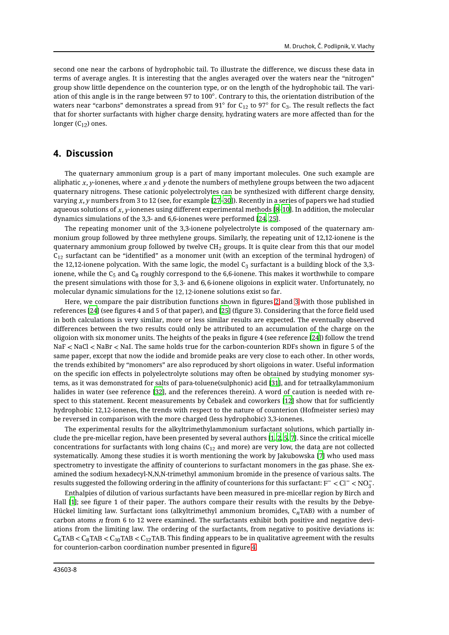second one near the carbons of hydrophobic tail. To illustrate the difference, we discuss these data in terms of average angles. It is interesting that the angles averaged over the waters near the "nitrogen" group show little dependence on the counterion type, or on the length of the hydrophobic tail. The variation of this angle is in the range between 97 to 100°. Contrary to this, the orientation distribution of the waters near "carbons" demonstrates a spread from 91 $^{\circ}$  for C<sub>12</sub> to 97 $^{\circ}$  for C<sub>3</sub>. The result reflects the fact that for shorter surfactants with higher charge density, hydrating waters are more affected than for the longer  $(C_{12})$  ones.

#### **4. Discussion**

The quaternary ammonium group is a part of many important molecules. One such example are aliphatic x, y-ionenes, where x and y denote the numbers of methylene groups between the two adjacent quaternary nitrogens. These cationic polyelectrolytes can be synthesized with different charge density, varying  $x$ , y numbers from 3 to 12 (see, for example [\[27](#page-8-19)-[30](#page-8-20)]). Recently in a series of papers we had studied aqueous solutions of  $x$ , y-ionenes using different experimental methods  $[8-10]$  $[8-10]$ . In addition, the molecular dynamics simulations of the 3,3- and 6,6-ionenes were performed [\[24](#page-8-16), [25](#page-8-17)].

The repeating monomer unit of the 3,3-ionene polyelectrolyte is composed of the quaternary ammonium group followed by three methylene groups. Similarly, the repeating unit of 12,12-ionene is the quaternary ammonium group followed by twelve  $CH<sub>2</sub>$  groups. It is quite clear from this that our model  $C_{12}$  surfactant can be "identified" as a monomer unit (with an exception of the terminal hydrogen) of the 12,12-ionene polycation. With the same logic, the model  $C_3$  surfactant is a building block of the 3,3ionene, while the  $C_5$  and  $C_8$  roughly correspond to the 6,6-ionene. This makes it worthwhile to compare the present simulations with those for 3, 3- and 6, 6-ionene oligoions in explicit water. Unfortunately, no molecular dynamic simulations for the 12, 12-ionene solutions exist so far.

Here, we compare the pair distribution functions shown in figures [2](#page-3-0) and [3](#page-4-0) with those published in references [\[24\]](#page-8-16) (see figures 4 and 5 of that paper), and [\[25\]](#page-8-17) (figure 3). Considering that the force field used in both calculations is very similar, more or less similar results are expected. The eventually observed differences between the two results could only be attributed to an accumulation of the charge on the oligoion with six monomer units. The heights of the peaks in figure 4 (see reference [\[24\]](#page-8-16)) follow the trend NaF < NaCl < NaBr < NaI. The same holds true for the carbon-counterion RDFs shown in figure 5 of the same paper, except that now the iodide and bromide peaks are very close to each other. In other words, the trends exhibited by "monomers" are also reproduced by short oligoions in water. Useful information on the specific ion effects in polyelectrolyte solutions may often be obtained by studying monomer systems, as it was demonstrated for salts of para-toluene(sulphonic) acid [\[31](#page-8-21)], and for tetraalkylammonium halides in water (see reference [\[32](#page-8-22)], and the references therein). A word of caution is needed with respect to this statement. Recent measurements by Čebašek and coworkers [\[12\]](#page-8-6) show that for sufficiently hydrophobic 12,12-ionenes, the trends with respect to the nature of counterion (Hofmeister series) may be reversed in comparison with the more charged (less hydrophobic) 3,3-ionenes.

The experimental results for the alkyltrimethylammonium surfactant solutions, which partially include the pre-micellar region, have been presented by several authors [\[1](#page-8-0), [2](#page-8-23), [5](#page-8-24), [7](#page-8-1)]. Since the critical micelle concentrations for surfactants with long chains  $(C_{12}$  and more) are very low, the data are not collected systematically. Among these studies it is worth mentioning the work by Jakubowska [\[7\]](#page-8-1) who used mass spectrometry to investigate the affinity of counterions to surfactant monomers in the gas phase. She examined the sodium hexadecyl-N,N,N-trimethyl ammonium bromide in the presence of various salts. The results suggested the following ordering in the affinity of counterions for this surfactant:  $F^{-} < Cl^{-} < NO_{3}^{-}$ .

Enthalpies of dilution of various surfactants have been measured in pre-micellar region by Birch and Hall [\[1\]](#page-8-0); see figure 1 of their paper. The authors compare their results with the results by the Debye-Hückel limiting law. Surfactant ions (alkyltrimethyl ammonium bromides,  $C_n$ TAB) with a number of carbon atoms  $n$  from 6 to 12 were examined. The surfactants exhibit both positive and negative deviations from the limiting law. The ordering of the surfactants, from negative to positive deviations is:  $C_6$ TAB  $<$   $C_8$ TAB  $<$   $C_{10}$ TAB  $<$   $C_{12}$ TAB. This finding appears to be in qualitative agreement with the results for counterion-carbon coordination number presented in figure [4.](#page-5-0)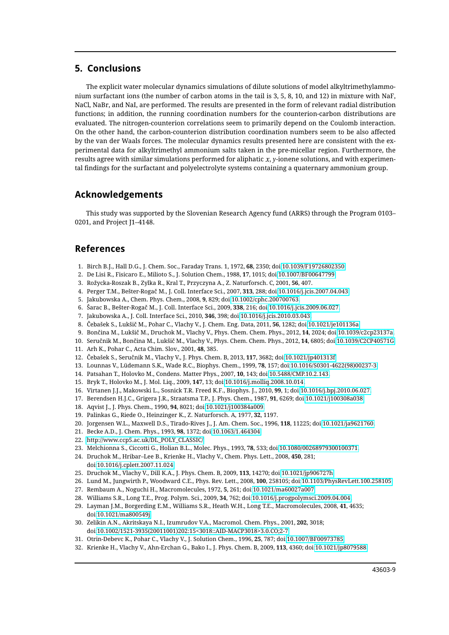### **5. Conclusions**

The explicit water molecular dynamics simulations of dilute solutions of model alkyltrimethylammonium surfactant ions (the number of carbon atoms in the tail is 3, 5, 8, 10, and 12) in mixture with NaF, NaCl, NaBr, and NaI, are performed. The results are presented in the form of relevant radial distribution functions; in addition, the running coordination numbers for the counterion-carbon distributions are evaluated. The nitrogen-counterion correlations seem to primarily depend on the Coulomb interaction. On the other hand, the carbon-counterion distribution coordination numbers seem to be also affected by the van der Waals forces. The molecular dynamics results presented here are consistent with the experimental data for alkyltrimethyl ammonium salts taken in the pre-micellar region. Furthermore, the results agree with similar simulations performed for aliphatic  $x$ ,  $y$ -ionene solutions, and with experimental findings for the surfactant and polyelectrolyte systems containing a quaternary ammonium group.

## **Acknowledgements**

This study was supported by the Slovenian Research Agency fund (ARRS) through the Program 0103– 0201, and Project J1–4148.

### **References**

- <span id="page-8-0"></span>1. Birch B.J., Hall D.G., J. Chem. Soc., Faraday Trans. 1, 1972, **68**, 2350; doi[:10.1039/F19726802350.](http://dx.doi.org/10.1039/F19726802350)
- <span id="page-8-23"></span>2. De Lisi R., Fisicaro E., Milioto S., J. Solution Chem., 1988, **17**, 1015; doi[:10.1007/BF00647799.](http://dx.doi.org/10.1007/BF00647799)
- <span id="page-8-2"></span>3. Rožycka-Roszak B., Zylka R., Kral T., Przyczyna A., Z. Naturforsch. C, 2001, **56**, 407.
- 4. Perger T.M., Bešter-Rogač M., J. Coll. Interface Sci., 2007, **313**, 288; doi[:10.1016/j.jcis.2007.04.043.](http://dx.doi.org/10.1016/j.jcis.2007.04.043)
- <span id="page-8-24"></span>5. Jakubowska A., Chem. Phys. Chem., 2008, **9**, 829; doi[:10.1002/cphc.200700763.](http://dx.doi.org/10.1002/cphc.200700763)
- 6. Šarac B., Bešter-Rogač M., J. Coll. Interface Sci., 2009, **338**, 216; doi[:10.1016/j.jcis.2009.06.027.](http://dx.doi.org/10.1016/j.jcis.2009.06.027)
- <span id="page-8-1"></span>7. Jakubowska A., J. Coll. Interface Sci., 2010, **346**, 398; doi[:10.1016/j.jcis.2010.03.043.](http://dx.doi.org/10.1016/j.jcis.2010.03.043)
- <span id="page-8-3"></span>8. Čebašek S., Lukšič M., Pohar C., Vlachy V., J. Chem. Eng. Data, 2011, **56**, 1282; doi[:10.1021/je101136a.](http://dx.doi.org/10.1021/je101136a)
- 9. Bončina M., Lukšič M., Druchok M., Vlachy V., Phys. Chem. Chem. Phys., 2012, **14**, 2024; doi[:10.1039/c2cp23137a.](http://dx.doi.org/10.1039/c2cp23137a)
- <span id="page-8-4"></span>10. Seručnik M., Bončina M., Lukšič M., Vlachy V., Phys. Chem. Chem. Phys., 2012, **14**, 6805; doi[:10.1039/C2CP40571G.](http://dx.doi.org/10.1039/C2CP40571G)
- <span id="page-8-5"></span>11. Arh K., Pohar C., Acta Chim. Slov., 2001, **48**, 385.
- <span id="page-8-6"></span>12. Čebašek S., Seručnik M., Vlachy V., J. Phys. Chem. B, 2013, **117**, 3682; doi[:10.1021/jp401313f.](http://dx.doi.org/10.1021/jp401313f)
- <span id="page-8-7"></span>13. Lounnas V., Lüdemann S.K., Wade R.C., Biophys. Chem., 1999, **78**, 157; doi[:10.1016/S0301-4622\(98\)00237-3.](http://dx.doi.org/10.1016/S0301-4622(98)00237-3)
- 14. Patsahan T., Holovko M., Condens. Matter Phys., 2007, **10**, 143; doi[:10.5488/CMP.10.2.143.](http://dx.doi.org/10.5488/CMP.10.2.143)
- 15. Bryk T., Holovko M., J. Mol. Liq., 2009, **147**, 13; doi[:10.1016/j.molliq.2008.10.014.](http://dx.doi.org/10.1016/j.molliq.2008.10.014)
- <span id="page-8-8"></span>16. Virtanen J.J., Makowski L., Sosnick T.R. Freed K.F., Biophys. J., 2010, **99**, 1; doi[:10.1016/j.bpj.2010.06.027.](http://dx.doi.org/10.1016/j.bpj.2010.06.027)
- <span id="page-8-9"></span>17. Berendsen H.J.C., Grigera J.R., Straatsma T.P., J. Phys. Chem., 1987, **91**, 6269; doi[:10.1021/j100308a038.](http://dx.doi.org/10.1021/j100308a038)
- <span id="page-8-10"></span>18. Aqvist J., J. Phys. Chem., 1990, **94**, 8021; doi[:10.1021/j100384a009.](http://dx.doi.org/10.1021/j100384a009)
- <span id="page-8-11"></span>19. Palinkas G., Riede O., Heinzinger K., Z. Naturforsch. A, 1977, **32**, 1197.
- <span id="page-8-12"></span>20. Jorgensen W.L., Maxwell D.S., Tirado-Rives J., J. Am. Chem. Soc., 1996, **118**, 11225; doi[:10.1021/ja9621760.](http://dx.doi.org/10.1021/ja9621760)
- <span id="page-8-13"></span>21. Becke A.D., J. Chem. Phys., 1993, **98**, 1372; doi[:10.1063/1.464304.](http://dx.doi.org/10.1063/1.464304)
- <span id="page-8-14"></span>22. [http://www.ccp5.ac.uk/DL\\_POLY\\_CLASSIC/.](http://www.ccp5.ac.uk/DL_POLY_CLASSIC/)
- <span id="page-8-15"></span>23. Melchionna S., Ciccotti G., Holian B.L., Molec. Phys., 1993, **78**, 533; doi[:10.1080/00268979300100371.](http://dx.doi.org/10.1080/00268979300100371)
- <span id="page-8-16"></span>24. Druchok M., Hribar–Lee B., Krienke H., Vlachy V., Chem. Phys. Lett., 2008, **450**, 281;
	- doi[:10.1016/j.cplett.2007.11.024.](http://dx.doi.org/10.1016/j.cplett.2007.11.024)
- <span id="page-8-17"></span>25. Druchok M., Vlachy V., Dill K.A., J. Phys. Chem. B, 2009, **113**, 14270; doi[:10.1021/jp906727h.](http://dx.doi.org/10.1021/jp906727h)
- <span id="page-8-18"></span>26. Lund M., Jungwirth P., Woodward C.E., Phys. Rev. Lett., 2008, **100**, 258105; doi[:10.1103/PhysRevLett.100.258105.](http://dx.doi.org/10.1103/PhysRevLett.100.258105)
- <span id="page-8-19"></span>27. Rembaum A., Noguchi H., Macromolecules, 1972, **5**, 261; doi[:10.1021/ma60027a007.](http://dx.doi.org/10.1021/ma60027a007)
- 28. Williams S.R., Long T.E., Prog. Polym. Sci., 2009, **34**, 762; doi[:10.1016/j.progpolymsci.2009.04.004.](http://dx.doi.org/10.1016/j.progpolymsci.2009.04.004)
- 29. Layman J.M., Borgerding E.M., Williams S.R., Heath W.H., Long T.E., Macromolecules, 2008, **41**, 4635; doi[:10.1021/ma800549j.](http://dx.doi.org/10.1021/ma800549j)
- <span id="page-8-20"></span>30. Zelikin A.N., Akritskaya N.I., Izumrudov V.A., Macromol. Chem. Phys., 2001, **202**, 3018; doi[:10.1002/1521-3935\(20011001\)202:15<3018::AID-MACP3018>3.0.CO;2-7.](http://dx.doi.org/10.1002/1521-3935(20011001)202:15%3C3018::AID-MACP3018%3E3.0.CO;2-7)
- <span id="page-8-21"></span>31. Otrin-Debevc K., Pohar C., Vlachy V., J. Solution Chem., 1996, **25**, 787; doi[:10.1007/BF00973785.](http://dx.doi.org/10.1007/BF00973785)
- <span id="page-8-22"></span>32. Krienke H., Vlachy V., Ahn-Erchan G., Bako I., J. Phys. Chem. B, 2009, **113**, 4360; doi[:10.1021/jp8079588.](http://dx.doi.org/10.1021/jp8079588)